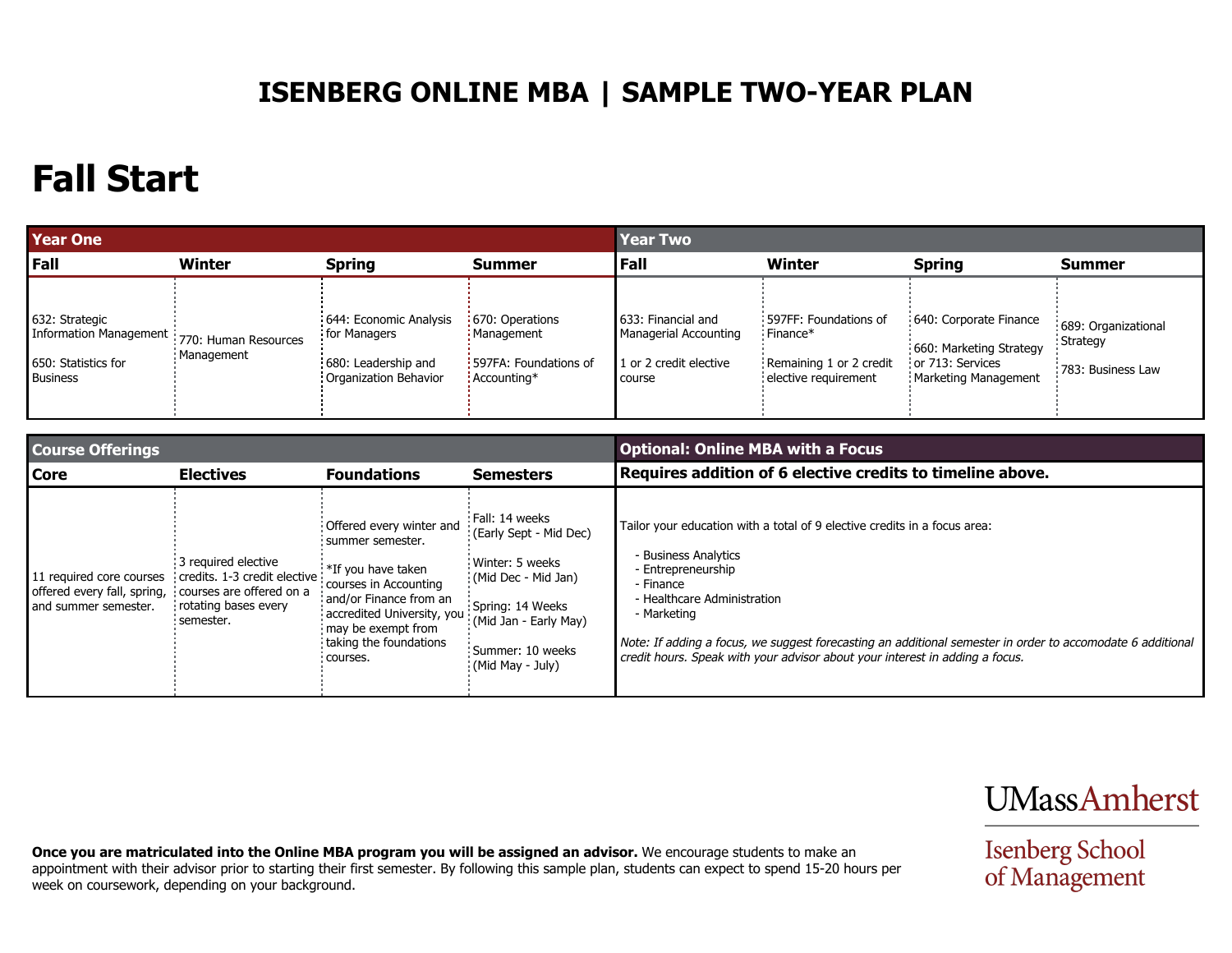### **ISENBERG ONLINE MBA | SAMPLE TWO-YEAR PLAN**

## **Fall Start**

| <b>Year One</b>                                                                    |                                      |                                                                                        |                                                                               | <b>Year Two</b>                                                                  |                                                                                        |                                                                                               |                                                               |
|------------------------------------------------------------------------------------|--------------------------------------|----------------------------------------------------------------------------------------|-------------------------------------------------------------------------------|----------------------------------------------------------------------------------|----------------------------------------------------------------------------------------|-----------------------------------------------------------------------------------------------|---------------------------------------------------------------|
| l Fall                                                                             | Winter                               | <b>Spring</b>                                                                          | <b>Summer</b>                                                                 | Fall                                                                             | <b>Winter</b>                                                                          | <b>Spring</b>                                                                                 | <b>Summer</b>                                                 |
| 632: Strategic<br>Information Management<br>650: Statistics for<br><b>Business</b> | 770: Human Resources<br>: Management | 644: Economic Analysis<br>for Managers<br>680: Leadership and<br>Organization Behavior | : 670: Operations<br>! Management<br>: 597FA: Foundations of<br>: Accounting* | 1633: Financial and<br>Managerial Accounting<br>1 or 2 credit elective<br>course | : 597FF: Foundations of<br>Finance*<br>Remaining 1 or 2 credit<br>elective requirement | 640: Corporate Finance<br>660: Marketing Strategy<br>or 713: Services<br>Marketing Management | 689: Organizational<br><b>Strategy</b><br>: 783: Business Law |

| <b>Course Offerings</b>                                                         |                                                                                                                        |                                                                                                                                                                                                                     |                                                                                                                                                                                         | <b>Optional: Online MBA with a Focus</b>                                                                                                                                                                                                                                                                                                                                         |  |  |
|---------------------------------------------------------------------------------|------------------------------------------------------------------------------------------------------------------------|---------------------------------------------------------------------------------------------------------------------------------------------------------------------------------------------------------------------|-----------------------------------------------------------------------------------------------------------------------------------------------------------------------------------------|----------------------------------------------------------------------------------------------------------------------------------------------------------------------------------------------------------------------------------------------------------------------------------------------------------------------------------------------------------------------------------|--|--|
| <b>Core</b>                                                                     | <b>Electives</b>                                                                                                       | <b>Foundations</b>                                                                                                                                                                                                  | <b>Semesters</b>                                                                                                                                                                        | Requires addition of 6 elective credits to timeline above.                                                                                                                                                                                                                                                                                                                       |  |  |
| 11 required core courses<br>offered every fall, spring,<br>and summer semester. | 3 required elective<br>credits. 1-3 credit elective<br>courses are offered on a<br>rotating bases every<br>: semester. | Offered every winter and<br>: summer semester.<br>*If you have taken<br>courses in Accounting<br>and/or Finance from an<br>accredited University, you<br>may be exempt from<br>taking the foundations<br>: courses. | Fall: 14 weeks<br>(Early Sept - Mid Dec)<br>Winter: 5 weeks<br>(Mid Dec - Mid Jan)<br>Spring: 14 Weeks<br>: (Mid Jan - Early May)<br>Summer: 10 weeks<br>$\frac{1}{2}$ (Mid May - July) | Tailor your education with a total of 9 elective credits in a focus area:<br>- Business Analytics<br>- Entrepreneurship<br>- Finance<br>- Healthcare Administration<br>- Marketing<br>Note: If adding a focus, we suggest forecasting an additional semester in order to accomodate 6 additional<br>credit hours. Speak with your advisor about your interest in adding a focus. |  |  |

**UMassAmherst** 

**Isenberg School**<br>of Management

**Once you are matriculated into the Online MBA program you will be assigned an advisor.** We encourage students to make an appointment with their advisor prior to starting their first semester. By following this sample plan, students can expect to spend 15-20 hours per week on coursework, depending on your background.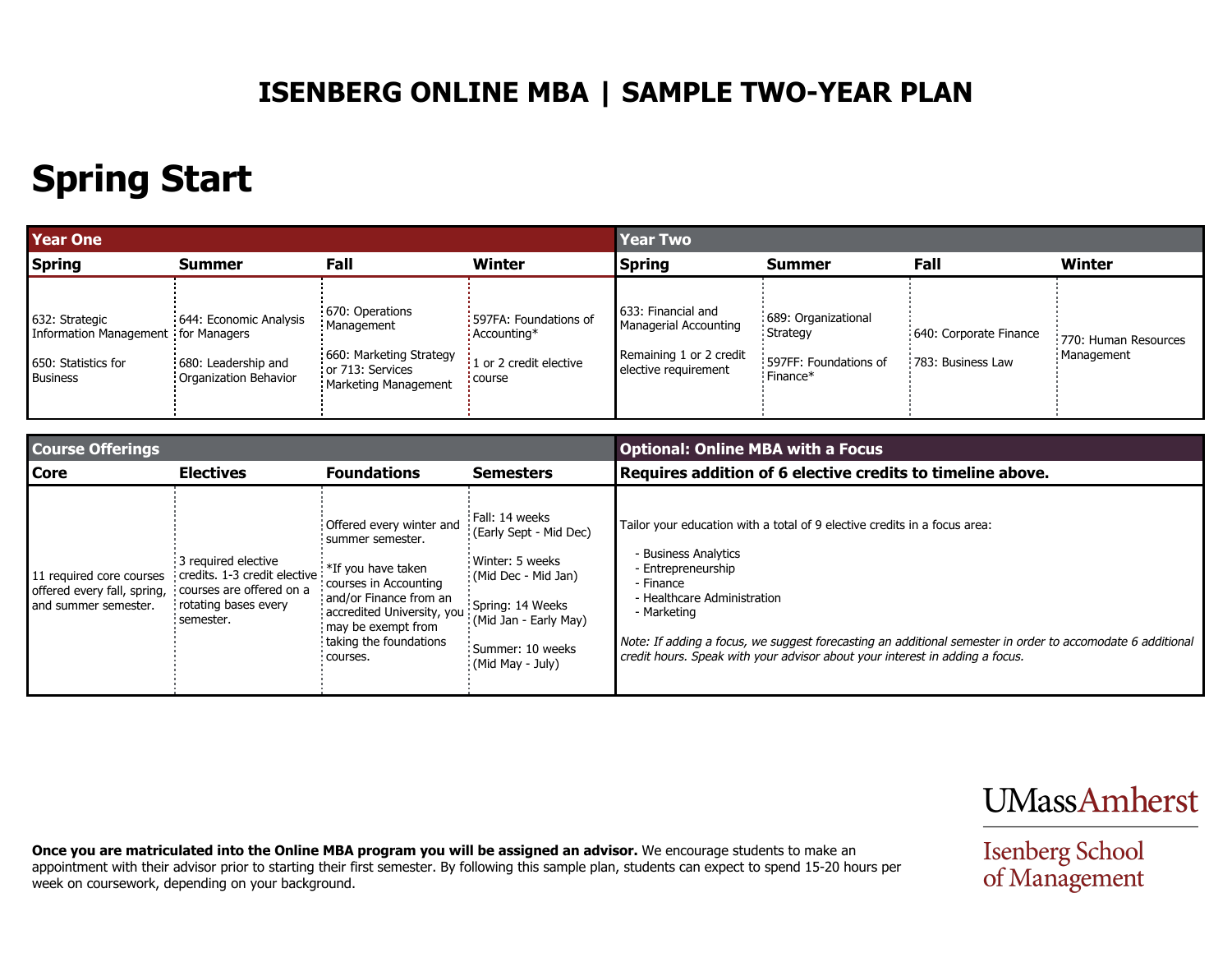### **ISENBERG ONLINE MBA | SAMPLE TWO-YEAR PLAN**

# **Spring Start**

| <b>Year One</b>                                                                                 |                                                                        |                                                                                                      | <b>Year Two</b>                                                            |                                                                                                |                                                                                             |                                             |                                      |
|-------------------------------------------------------------------------------------------------|------------------------------------------------------------------------|------------------------------------------------------------------------------------------------------|----------------------------------------------------------------------------|------------------------------------------------------------------------------------------------|---------------------------------------------------------------------------------------------|---------------------------------------------|--------------------------------------|
| <b>Spring</b>                                                                                   | Summer                                                                 | <b>Fall</b>                                                                                          | Winter                                                                     | <b>Spring</b>                                                                                  | <b>Summer</b>                                                                               | Fall                                        | <b>Winter</b>                        |
| 632: Strategic<br>Information Management for Managers<br>650: Statistics for<br><b>Business</b> | 644: Economic Analysis<br>680: Leadership and<br>Organization Behavior | 670: Operations<br>Management<br>660: Marketing Strategy<br>or 713: Services<br>Marketing Management | 597FA: Foundations of<br>Accounting*<br>1 or 2 credit elective<br>: course | 633: Financial and<br>Managerial Accounting<br>Remaining 1 or 2 credit<br>elective requirement | : 689: Organizational<br><b>Strategy</b><br>597FF: Foundations of<br>$\frac{1}{2}$ Finance* | 640: Corporate Finance<br>783: Business Law | 770: Human Resources<br>: Management |

| <b>Course Offerings</b>                                                         |                                                                                                                        |                                                                                                                                                                                                                     |                                                                                                                                                                           | <b>Optional: Online MBA with a Focus</b>                                                                                                                                                                                                                                                                                                                                         |  |  |
|---------------------------------------------------------------------------------|------------------------------------------------------------------------------------------------------------------------|---------------------------------------------------------------------------------------------------------------------------------------------------------------------------------------------------------------------|---------------------------------------------------------------------------------------------------------------------------------------------------------------------------|----------------------------------------------------------------------------------------------------------------------------------------------------------------------------------------------------------------------------------------------------------------------------------------------------------------------------------------------------------------------------------|--|--|
| <b>Core</b>                                                                     | <b>Electives</b>                                                                                                       | <b>Foundations</b>                                                                                                                                                                                                  | <b>Semesters</b>                                                                                                                                                          | Requires addition of 6 elective credits to timeline above.                                                                                                                                                                                                                                                                                                                       |  |  |
| 11 required core courses<br>offered every fall, spring,<br>and summer semester. | 3 required elective<br>credits. 1-3 credit elective<br>courses are offered on a<br>rotating bases every<br>: semester. | Offered every winter and<br>: summer semester.<br>*If you have taken<br>courses in Accounting<br>and/or Finance from an<br>accredited University, you<br>may be exempt from<br>taking the foundations<br>: courses. | Fall: 14 weeks<br>(Early Sept - Mid Dec)<br>Winter: 5 weeks<br>(Mid Dec - Mid Jan)<br>Spring: 14 Weeks<br>(Mid Jan - Early May)<br>Summer: 10 weeks<br>$(Mid May - July)$ | Tailor your education with a total of 9 elective credits in a focus area:<br>- Business Analytics<br>- Entrepreneurship<br>- Finance<br>- Healthcare Administration<br>- Marketing<br>Note: If adding a focus, we suggest forecasting an additional semester in order to accomodate 6 additional<br>credit hours. Speak with your advisor about your interest in adding a focus. |  |  |

**Once you are matriculated into the Online MBA program you will be assigned an advisor.** We encourage students to make an appointment with their advisor prior to starting their first semester. By following this sample plan, students can expect to spend 15-20 hours per week on coursework, depending on your background.

**UMassAmherst** 

**Isenberg School**<br>of Management